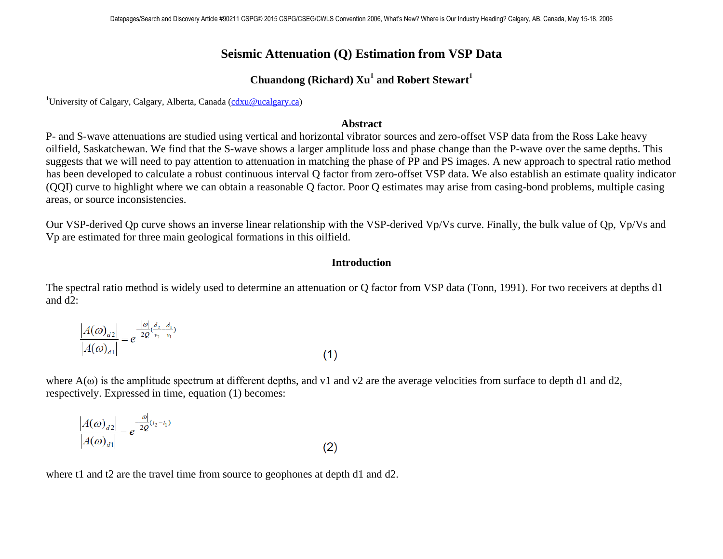# **Seismic Attenuation (Q) Estimation from VSP Data**

# **Chuandong (Richard) Xu1 and Robert Stewart<sup>1</sup>**

<sup>1</sup>University of Calgary, Calgary, Alberta, Canada [\(cdxu@ucalgary.ca\)](mailto:cdxu@ucalgary.ca)

### **Abstract**

P- and S-wave attenuations are studied using vertical and horizontal vibrator sources and zero-offset VSP data from the Ross Lake heavy oilfield, Saskatchewan. We find that the S-wave shows a larger amplitude loss and phase change than the P-wave over the same depths. This suggests that we will need to pay attention to attenuation in matching the phase of PP and PS images. A new approach to spectral ratio method has been developed to calculate a robust continuous interval Q factor from zero-offset VSP data. We also establish an estimate quality indicator (QQI) curve to highlight where we can obtain a reasonable Q factor. Poor Q estimates may arise from casing-bond problems, multiple casing areas, or source inconsistencies.

Our VSP-derived Qp curve shows an inverse linear relationship with the VSP-derived Vp/Vs curve. Finally, the bulk value of Qp, Vp/Vs and Vp are estimated for three main geological formations in this oilfield.

### **Introduction**

The spectral ratio method is widely used to determine an attenuation or Q factor from VSP data (Tonn, 1991). For two receivers at depths d1 and d2:

$$
\frac{|A(\omega)_{d2}|}{|A(\omega)_{d1}|} = e^{-\frac{|\omega|}{2Q}(\frac{d_2 - d_1}{v_2 - v_1})}
$$
\n(1)

where  $A(\omega)$  is the amplitude spectrum at different depths, and v1 and v2 are the average velocities from surface to depth d1 and d2, respectively. Expressed in time, equation (1) becomes:

$$
\frac{|A(\omega)_{d2}|}{|A(\omega)_{d1}|} = e^{-\frac{|\omega|}{2Q}(t_2 - t_1)}
$$
\n(2)

where t1 and t2 are the travel time from source to geophones at depth d1 and d2.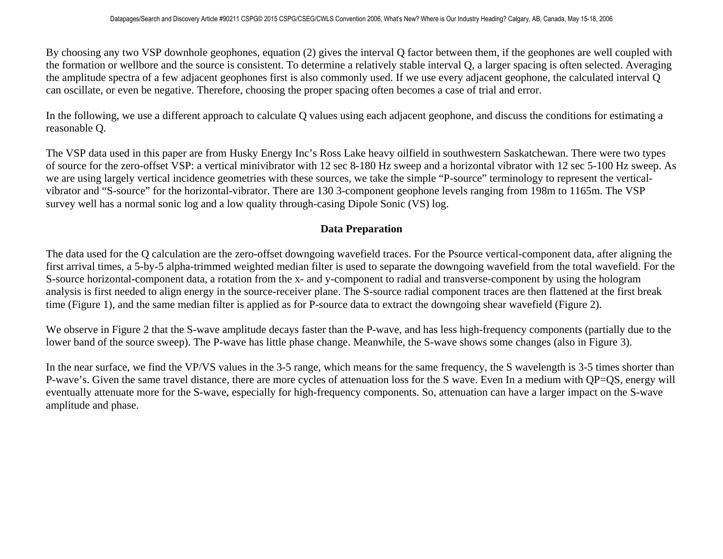By choosing any two VSP downhole geophones, equation (2) gives the interval Q factor between them, if the geophones are well coupled with the formation or wellbore and the source is consistent. To determine a relatively stable interval Q, a larger spacing is often selected. Averaging the amplitude spectra of a few adjacent geophones first is also commonly used. If we use every adjacent geophone, the calculated interval Q can oscillate, or even be negative. Therefore, choosing the proper spacing often becomes a case of trial and error.

In the following, we use a different approach to calculate Q values using each adjacent geophone, and discuss the conditions for estimating a reasonable Q.

The VSP data used in this paper are from Husky Energy Inc's Ross Lake heavy oilfield in southwestern Saskatchewan. There were two types of source for the zero-offset VSP: a vertical minivibrator with 12 sec 8-180 Hz sweep and a horizontal vibrator with 12 sec 5-100 Hz sweep. As we are using largely vertical incidence geometries with these sources, we take the simple "P-source" terminology to represent the verticalvibrator and "S-source" for the horizontal-vibrator. There are 130 3-component geophone levels ranging from 198m to 1165m. The VSP survey well has a normal sonic log and a low quality through-casing Dipole Sonic (VS) log.

# **Data Preparation**

The data used for the Q calculation are the zero-offset downgoing wavefield traces. For the Psource vertical-component data, after aligning the first arrival times, a 5-by-5 alpha-trimmed weighted median filter is used to separate the downgoing wavefield from the total wavefield. For the S-source horizontal-component data, a rotation from the x- and y-component to radial and transverse-component by using the hologram analysis is first needed to align energy in the source-receiver plane. The S-source radial component traces are then flattened at the first break time (Figure 1), and the same median filter is applied as for P-source data to extract the downgoing shear wavefield (Figure 2).

We observe in Figure 2 that the S-wave amplitude decays faster than the P-wave, and has less high-frequency components (partially due to the lower band of the source sweep). The P-wave has little phase change. Meanwhile, the S-wave shows some changes (also in Figure 3).

In the near surface, we find the VP/VS values in the 3-5 range, which means for the same frequency, the S wavelength is 3-5 times shorter than P-wave's. Given the same travel distance, there are more cycles of attenuation loss for the S wave. Even In a medium with QP=QS, energy will eventually attenuate more for the S-wave, especially for high-frequency components. So, attenuation can have a larger impact on the S-wave amplitude and phase.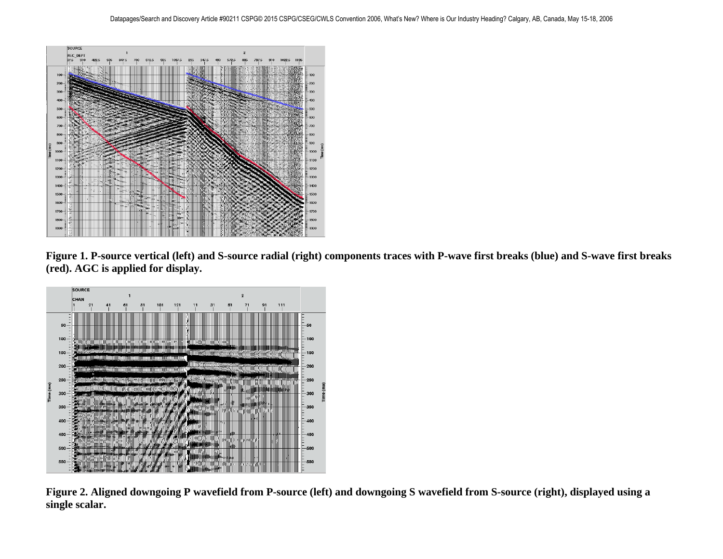

**Figure 1. P-source vertical (left) and S-source radial (right) components traces with P-wave first breaks (blue) and S-wave first breaks (red). AGC is applied for display.**



**Figure 2. Aligned downgoing P wavefield from P-source (left) and downgoing S wavefield from S-source (right), displayed using a single scalar.**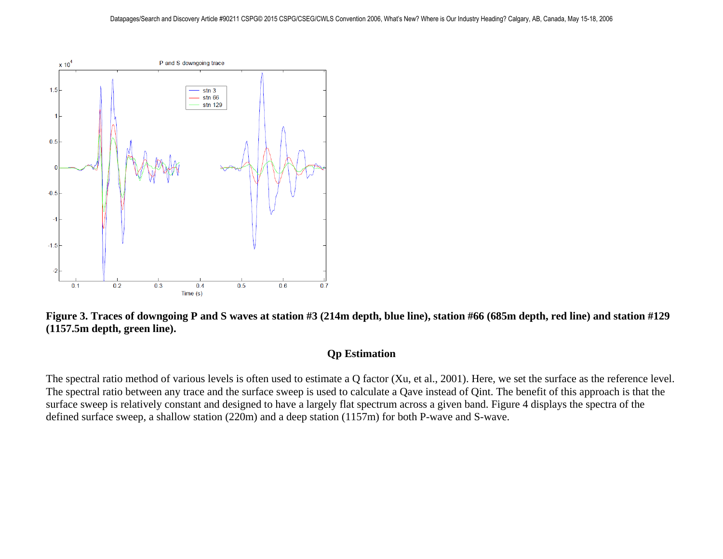



### **Qp Estimation**

The spectral ratio method of various levels is often used to estimate a Q factor (Xu, et al., 2001). Here, we set the surface as the reference level. The spectral ratio between any trace and the surface sweep is used to calculate a Qave instead of Qint. The benefit of this approach is that the surface sweep is relatively constant and designed to have a largely flat spectrum across a given band. Figure 4 displays the spectra of the defined surface sweep, a shallow station (220m) and a deep station (1157m) for both P-wave and S-wave.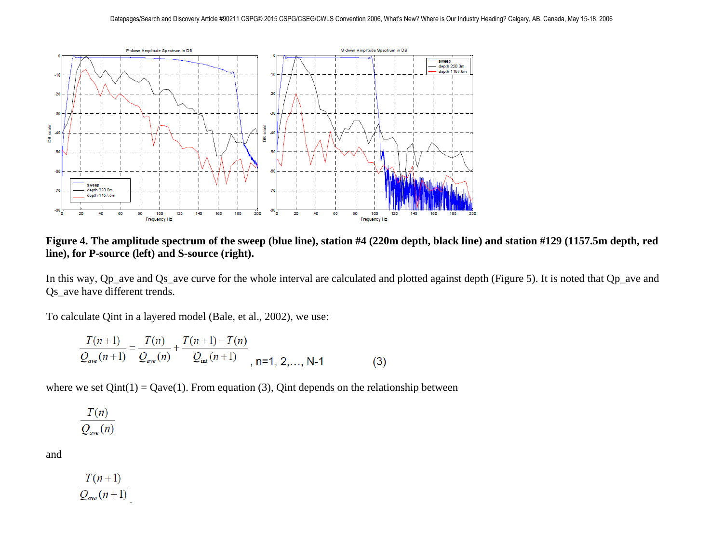

**Figure 4. The amplitude spectrum of the sweep (blue line), station #4 (220m depth, black line) and station #129 (1157.5m depth, red line), for P-source (left) and S-source (right).**

In this way, Qp\_ave and Qs\_ave curve for the whole interval are calculated and plotted against depth (Figure 5). It is noted that Qp\_ave and Qs\_ave have different trends.

To calculate Qint in a layered model (Bale, et al., 2002), we use:

$$
\frac{T(n+1)}{Q_{ave}(n+1)} = \frac{T(n)}{Q_{ave}(n)} + \frac{T(n+1) - T(n)}{Q_{int}(n+1)},
$$
 n=1, 2,..., N-1 (3)

where we set  $Qint(1) = Qave(1)$ . From equation (3), Qint depends on the relationship between

$$
\frac{T(n)}{Q_{ave}(n)}
$$

and

$$
\frac{T(n+1)}{Q_{ave}(n+1)}
$$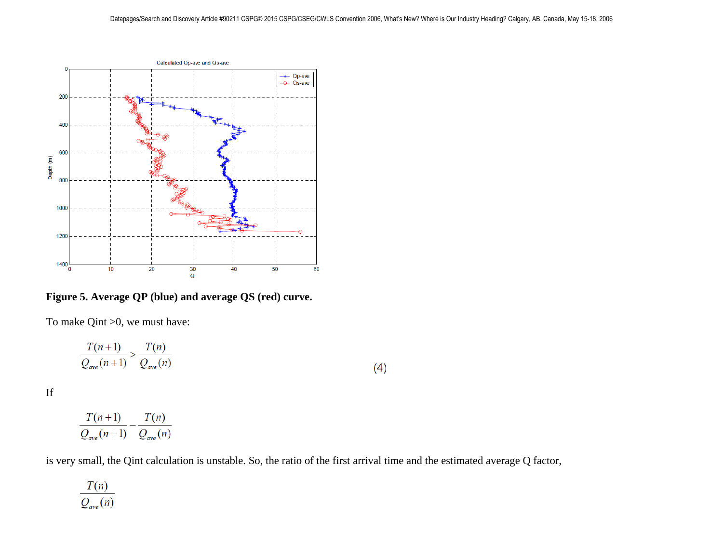

**Figure 5. Average QP (blue) and average QS (red) curve.**

To make Qint >0, we must have:

$$
\frac{T(n+1)}{Q_{ave}(n+1)} > \frac{T(n)}{Q_{ave}(n)}\tag{4}
$$

If

$$
\frac{T(n+1)}{Q_{ave}(n+1)} - \frac{T(n)}{Q_{ave}(n)}
$$

is very small, the Qint calculation is unstable. So, the ratio of the first arrival time and the estimated average Q factor,

 $\frac{T(n)}{Q_{ave}(n)}$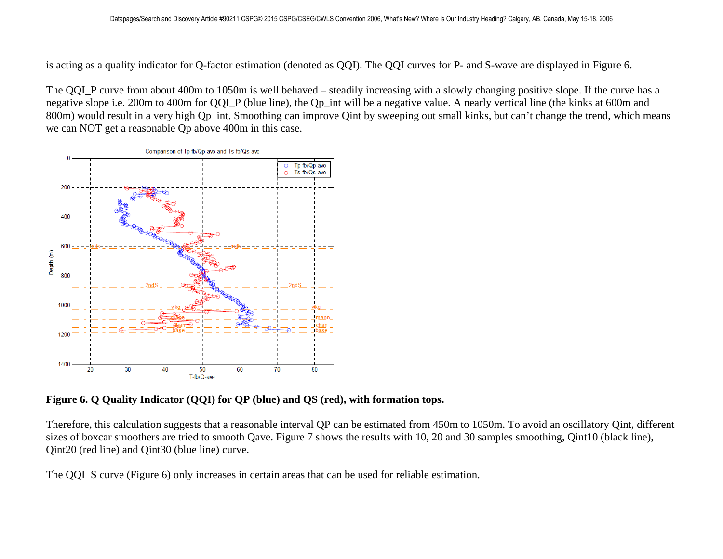is acting as a quality indicator for Q-factor estimation (denoted as QQI). The QQI curves for P- and S-wave are displayed in Figure 6.

The QQI\_P curve from about 400m to 1050m is well behaved – steadily increasing with a slowly changing positive slope. If the curve has a negative slope i.e. 200m to 400m for QQI\_P (blue line), the Qp\_int will be a negative value. A nearly vertical line (the kinks at 600m and 800m) would result in a very high Qp\_int. Smoothing can improve Qint by sweeping out small kinks, but can't change the trend, which means we can NOT get a reasonable Qp above 400m in this case.



**Figure 6. Q Quality Indicator (QQI) for QP (blue) and QS (red), with formation tops.**

Therefore, this calculation suggests that a reasonable interval QP can be estimated from 450m to 1050m. To avoid an oscillatory Qint, different sizes of boxcar smoothers are tried to smooth Qave. Figure 7 shows the results with 10, 20 and 30 samples smoothing, Qint10 (black line), Qint20 (red line) and Qint30 (blue line) curve.

The QQI\_S curve (Figure 6) only increases in certain areas that can be used for reliable estimation.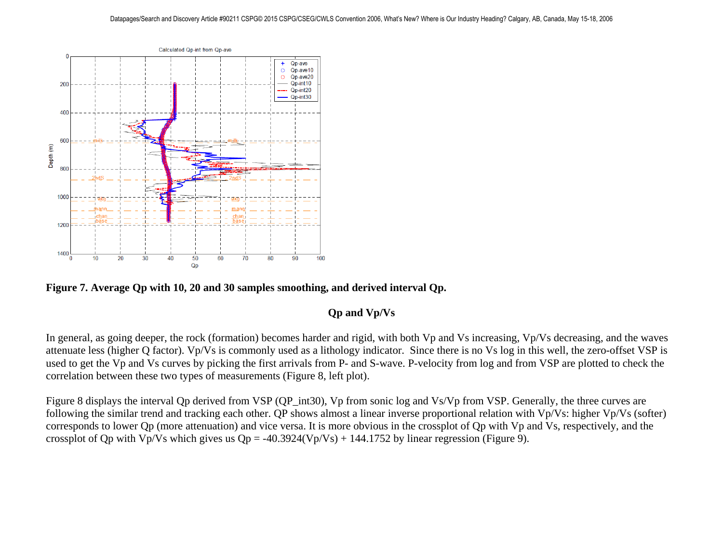

**Figure 7. Average Qp with 10, 20 and 30 samples smoothing, and derived interval Qp.** 

### **Qp and Vp/Vs**

In general, as going deeper, the rock (formation) becomes harder and rigid, with both Vp and Vs increasing, Vp/Vs decreasing, and the waves attenuate less (higher Q factor). Vp/Vs is commonly used as a lithology indicator. Since there is no Vs log in this well, the zero-offset VSP is used to get the Vp and Vs curves by picking the first arrivals from P- and S-wave. P-velocity from log and from VSP are plotted to check the correlation between these two types of measurements (Figure 8, left plot).

Figure 8 displays the interval Qp derived from VSP (QP\_int30), Vp from sonic log and Vs/Vp from VSP. Generally, the three curves are following the similar trend and tracking each other. QP shows almost a linear inverse proportional relation with Vp/Vs: higher Vp/Vs (softer) corresponds to lower Qp (more attenuation) and vice versa. It is more obvious in the crossplot of Qp with Vp and Vs, respectively, and the crossplot of Qp with Vp/Vs which gives us  $Qp = -40.3924(Vp/Vs) + 144.1752$  by linear regression (Figure 9).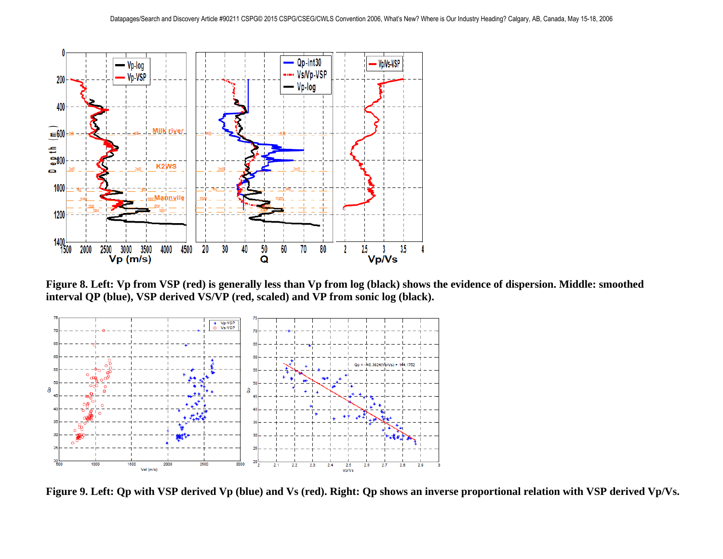

**Figure 8. Left: Vp from VSP (red) is generally less than Vp from log (black) shows the evidence of dispersion. Middle: smoothed interval QP (blue), VSP derived VS/VP (red, scaled) and VP from sonic log (black).**



**Figure 9. Left: Qp with VSP derived Vp (blue) and Vs (red). Right: Qp shows an inverse proportional relation with VSP derived Vp/Vs.**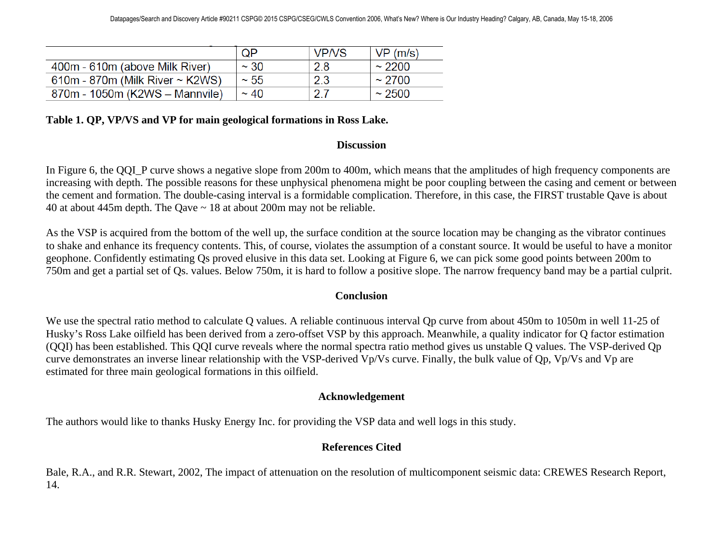|                                        | QP         | <b>VP/VS</b> | VP(m/s)     |
|----------------------------------------|------------|--------------|-------------|
| 400m - 610m (above Milk River)         | $~\sim$ 30 | 2.8          | $\sim$ 2200 |
| $610m - 870m$ (Milk River $\sim$ K2WS) | $~\sim 55$ | 2.3          | $~1$ 2700   |
| 870m - 1050m (K2WS - Mannvile)         | $~\sim$ 40 | _ ገ          | $~1$ 2500   |

### **Table 1. QP, VP/VS and VP for main geological formations in Ross Lake.**

### **Discussion**

In Figure 6, the QQI\_P curve shows a negative slope from 200m to 400m, which means that the amplitudes of high frequency components are increasing with depth. The possible reasons for these unphysical phenomena might be poor coupling between the casing and cement or between the cement and formation. The double-casing interval is a formidable complication. Therefore, in this case, the FIRST trustable Qave is about 40 at about 445m depth. The Qave ~ 18 at about 200m may not be reliable.

As the VSP is acquired from the bottom of the well up, the surface condition at the source location may be changing as the vibrator continues to shake and enhance its frequency contents. This, of course, violates the assumption of a constant source. It would be useful to have a monitor geophone. Confidently estimating Qs proved elusive in this data set. Looking at Figure 6, we can pick some good points between 200m to 750m and get a partial set of Qs. values. Below 750m, it is hard to follow a positive slope. The narrow frequency band may be a partial culprit.

### **Conclusion**

We use the spectral ratio method to calculate Q values. A reliable continuous interval Qp curve from about 450m to 1050m in well 11-25 of Husky's Ross Lake oilfield has been derived from a zero-offset VSP by this approach. Meanwhile, a quality indicator for Q factor estimation (QQI) has been established. This QQI curve reveals where the normal spectra ratio method gives us unstable Q values. The VSP-derived Qp curve demonstrates an inverse linear relationship with the VSP-derived Vp/Vs curve. Finally, the bulk value of Qp, Vp/Vs and Vp are estimated for three main geological formations in this oilfield.

### **Acknowledgement**

The authors would like to thanks Husky Energy Inc. for providing the VSP data and well logs in this study.

### **References Cited**

Bale, R.A., and R.R. Stewart, 2002, The impact of attenuation on the resolution of multicomponent seismic data: CREWES Research Report, 14.